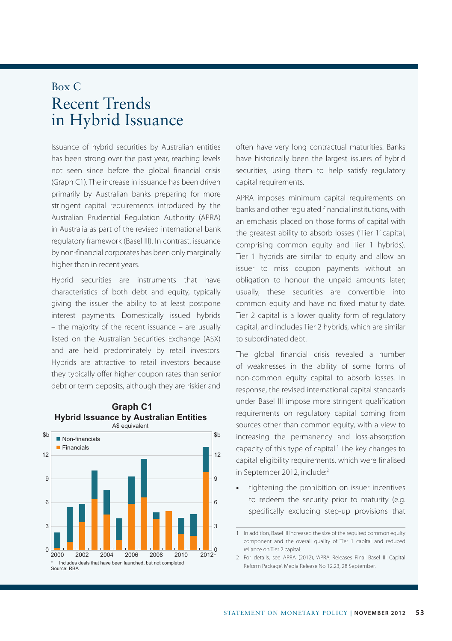## Box C Recent Trends in Hybrid Issuance

Issuance of hybrid securities by Australian entities has been strong over the past year, reaching levels not seen since before the global financial crisis (Graph C1). The increase in issuance has been driven primarily by Australian banks preparing for more stringent capital requirements introduced by the Australian Prudential Regulation Authority (APRA) in Australia as part of the revised international bank regulatory framework (Basel III). In contrast, issuance by non-financial corporates has been only marginally higher than in recent years.

Hybrid securities are instruments that have characteristics of both debt and equity, typically giving the issuer the ability to at least postpone interest payments. Domestically issued hybrids – the majority of the recent issuance – are usually listed on the Australian Securities Exchange (ASX) and are held predominately by retail investors. Hybrids are attractive to retail investors because they typically offer higher coupon rates than senior debt or term deposits, although they are riskier and





often have very long contractual maturities. Banks have historically been the largest issuers of hybrid securities, using them to help satisfy regulatory capital requirements.

APRA imposes minimum capital requirements on banks and other regulated financial institutions, with an emphasis placed on those forms of capital with the greatest ability to absorb losses ('Tier 1' capital, comprising common equity and Tier 1 hybrids). Tier 1 hybrids are similar to equity and allow an issuer to miss coupon payments without an obligation to honour the unpaid amounts later; usually, these securities are convertible into common equity and have no fixed maturity date. Tier 2 capital is a lower quality form of regulatory capital, and includes Tier 2 hybrids, which are similar to subordinated debt.

The global financial crisis revealed a number of weaknesses in the ability of some forms of non-common equity capital to absorb losses. In response, the revised international capital standards under Basel III impose more stringent qualification requirements on regulatory capital coming from sources other than common equity, with a view to increasing the permanency and loss-absorption capacity of this type of capital.<sup>1</sup> The key changes to capital eligibility requirements, which were finalised in September 2012, include:2

**•** tightening the prohibition on issuer incentives to redeem the security prior to maturity (e.g. specifically excluding step-up provisions that

<sup>1</sup> In addition, Basel III increased the size of the required common equity component and the overall quality of Tier 1 capital and reduced reliance on Tier 2 capital.

<sup>2</sup> For details, see APRA (2012), 'APRA Releases Final Basel III Capital Reform Package', Media Release No 12.23, 28 September.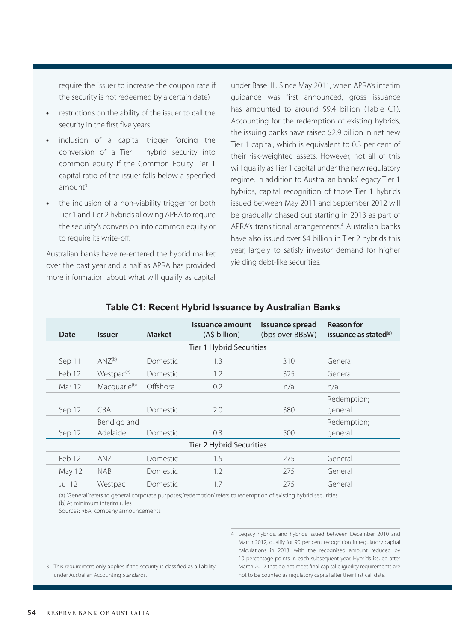require the issuer to increase the coupon rate if the security is not redeemed by a certain date)

- **•** restrictions on the ability of the issuer to call the security in the first five years
- **•** inclusion of a capital trigger forcing the conversion of a Tier 1 hybrid security into common equity if the Common Equity Tier 1 capital ratio of the issuer falls below a specified  $amount<sup>3</sup>$
- **•** the inclusion of a non-viability trigger for both Tier 1 and Tier 2 hybrids allowing APRA to require the security's conversion into common equity or to require its write-off.

Australian banks have re-entered the hybrid market over the past year and a half as APRA has provided more information about what will qualify as capital under Basel III. Since May 2011, when APRA's interim guidance was first announced, gross issuance has amounted to around \$9.4 billion (Table C1). Accounting for the redemption of existing hybrids, the issuing banks have raised \$2.9 billion in net new Tier 1 capital, which is equivalent to 0.3 per cent of their risk-weighted assets. However, not all of this will qualify as Tier 1 capital under the new regulatory regime. In addition to Australian banks' legacy Tier 1 hybrids, capital recognition of those Tier 1 hybrids issued between May 2011 and September 2012 will be gradually phased out starting in 2013 as part of APRA's transitional arrangements.4 Australian banks have also issued over \$4 billion in Tier 2 hybrids this year, largely to satisfy investor demand for higher yielding debt-like securities.

| Date                     | <b>Issuer</b>            | <b>Market</b>   | Issuance amount<br>(A\$ billion) | Issuance spread<br>(bps over BBSW) | <b>Reason for</b><br>issuance as stated <sup>(a)</sup> |
|--------------------------|--------------------------|-----------------|----------------------------------|------------------------------------|--------------------------------------------------------|
| Tier 1 Hybrid Securities |                          |                 |                                  |                                    |                                                        |
| Sep 11                   | $ANZ^{(b)}$              | <b>Domestic</b> | 1.3                              | 310                                | General                                                |
| Feb 12                   | Westpac <sup>(b)</sup>   | <b>Domestic</b> | 1.2                              | 325                                | General                                                |
| Mar 12                   | Macquarie <sup>(b)</sup> | Offshore        | 0.2                              | n/a                                | n/a                                                    |
| Sep 12                   | <b>CBA</b>               | <b>Domestic</b> | 2.0                              | 380                                | Redemption;<br>general                                 |
| Sep 12                   | Bendigo and<br>Adelaide  | <b>Domestic</b> | 0.3                              | 500                                | Redemption;<br>general                                 |
| Tier 2 Hybrid Securities |                          |                 |                                  |                                    |                                                        |
| Feb 12                   | AN <sub>7</sub>          | <b>Domestic</b> | 1.5                              | 275                                | General                                                |
| May 12                   | <b>NAB</b>               | <b>Domestic</b> | 1.2                              | 275                                | General                                                |
| Jul 12                   | Westpac                  | <b>Domestic</b> | 1.7                              | 275                                | General                                                |

## **Table C1: Recent Hybrid Issuance by Australian Banks**

(a) 'General' refers to general corporate purposes; 'redemption' refers to redemption of existing hybrid securities (b)At minimum interim rules

Sources: RBA; company announcements

4 Legacy hybrids, and hybrids issued between December 2010 and March 2012, qualify for 90 per cent recognition in regulatory capital calculations in 2013, with the recognised amount reduced by 10 percentage points in each subsequent year. Hybrids issued after March 2012 that do not meet final capital eligibility requirements are not to be counted as regulatory capital after their first call date.

3 This requirement only applies if the security is classified as a liability under Australian Accounting Standards.